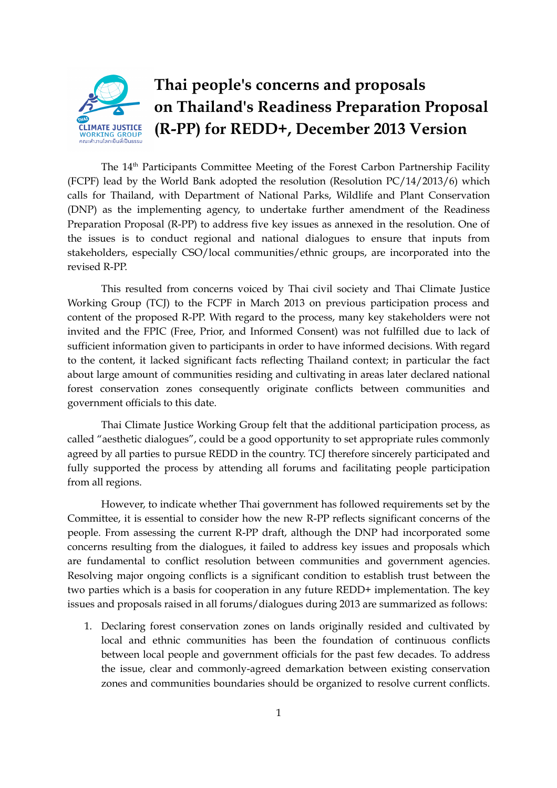

## **Thai people's concerns and proposals on Thailand's Readiness Preparation Proposal (R-PP) for REDD+, December 2013 Version**

The 14<sup>th</sup> Participants Committee Meeting of the Forest Carbon Partnership Facility (FCPF) lead by the World Bank adopted the resolution (Resolution PC/14/2013/6) which calls for Thailand, with Department of National Parks, Wildlife and Plant Conservation (DNP) as the implementing agency, to undertake further amendment of the Readiness Preparation Proposal (R-PP) to address five key issues as annexed in the resolution. One of the issues is to conduct regional and national dialogues to ensure that inputs from stakeholders, especially CSO/local communities/ethnic groups, are incorporated into the revised R-PP.

This resulted from concerns voiced by Thai civil society and Thai Climate Justice Working Group (TCJ) to the FCPF in March 2013 on previous participation process and content of the proposed R-PP. With regard to the process, many key stakeholders were not invited and the FPIC (Free, Prior, and Informed Consent) was not fulfilled due to lack of sufficient information given to participants in order to have informed decisions. With regard to the content, it lacked significant facts reflecting Thailand context; in particular the fact about large amount of communities residing and cultivating in areas later declared national forest conservation zones consequently originate conflicts between communities and government officials to this date.

Thai Climate Justice Working Group felt that the additional participation process, as called "aesthetic dialogues", could be a good opportunity to set appropriate rules commonly agreed by all parties to pursue REDD in the country. TCJ therefore sincerely participated and fully supported the process by attending all forums and facilitating people participation from all regions.

However, to indicate whether Thai government has followed requirements set by the Committee, it is essential to consider how the new R-PP reflects significant concerns of the people. From assessing the current R-PP draft, although the DNP had incorporated some concerns resulting from the dialogues, it failed to address key issues and proposals which are fundamental to conflict resolution between communities and government agencies. Resolving major ongoing conflicts is a significant condition to establish trust between the two parties which is a basis for cooperation in any future REDD+ implementation. The key issues and proposals raised in all forums/dialogues during 2013 are summarized as follows:

1. Declaring forest conservation zones on lands originally resided and cultivated by local and ethnic communities has been the foundation of continuous conflicts between local people and government officials for the past few decades. To address the issue, clear and commonly-agreed demarkation between existing conservation zones and communities boundaries should be organized to resolve current conflicts.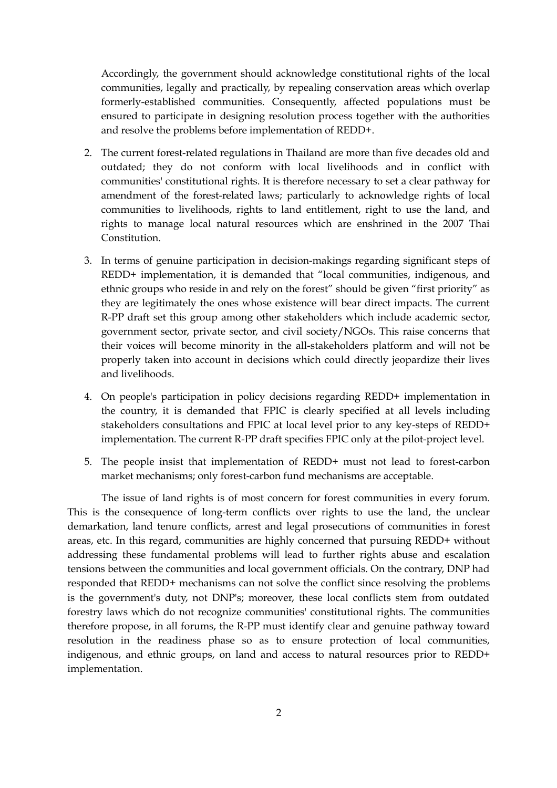Accordingly, the government should acknowledge constitutional rights of the local communities, legally and practically, by repealing conservation areas which overlap formerly-established communities. Consequently, affected populations must be ensured to participate in designing resolution process together with the authorities and resolve the problems before implementation of REDD+.

- 2. The current forest-related regulations in Thailand are more than five decades old and outdated; they do not conform with local livelihoods and in conflict with communities' constitutional rights. It is therefore necessary to set a clear pathway for amendment of the forest-related laws; particularly to acknowledge rights of local communities to livelihoods, rights to land entitlement, right to use the land, and rights to manage local natural resources which are enshrined in the 2007 Thai Constitution.
- 3. In terms of genuine participation in decision-makings regarding significant steps of REDD+ implementation, it is demanded that "local communities, indigenous, and ethnic groups who reside in and rely on the forest" should be given "first priority" as they are legitimately the ones whose existence will bear direct impacts. The current R-PP draft set this group among other stakeholders which include academic sector, government sector, private sector, and civil society/NGOs. This raise concerns that their voices will become minority in the all-stakeholders platform and will not be properly taken into account in decisions which could directly jeopardize their lives and livelihoods.
- 4. On people's participation in policy decisions regarding REDD+ implementation in the country, it is demanded that FPIC is clearly specified at all levels including stakeholders consultations and FPIC at local level prior to any key-steps of REDD+ implementation. The current R-PP draft specifies FPIC only at the pilot-project level.
- 5. The people insist that implementation of REDD+ must not lead to forest-carbon market mechanisms; only forest-carbon fund mechanisms are acceptable.

The issue of land rights is of most concern for forest communities in every forum. This is the consequence of long-term conflicts over rights to use the land, the unclear demarkation, land tenure conflicts, arrest and legal prosecutions of communities in forest areas, etc. In this regard, communities are highly concerned that pursuing REDD+ without addressing these fundamental problems will lead to further rights abuse and escalation tensions between the communities and local government officials. On the contrary, DNP had responded that REDD+ mechanisms can not solve the conflict since resolving the problems is the government's duty, not DNP's; moreover, these local conflicts stem from outdated forestry laws which do not recognize communities' constitutional rights. The communities therefore propose, in all forums, the R-PP must identify clear and genuine pathway toward resolution in the readiness phase so as to ensure protection of local communities, indigenous, and ethnic groups, on land and access to natural resources prior to REDD+ implementation.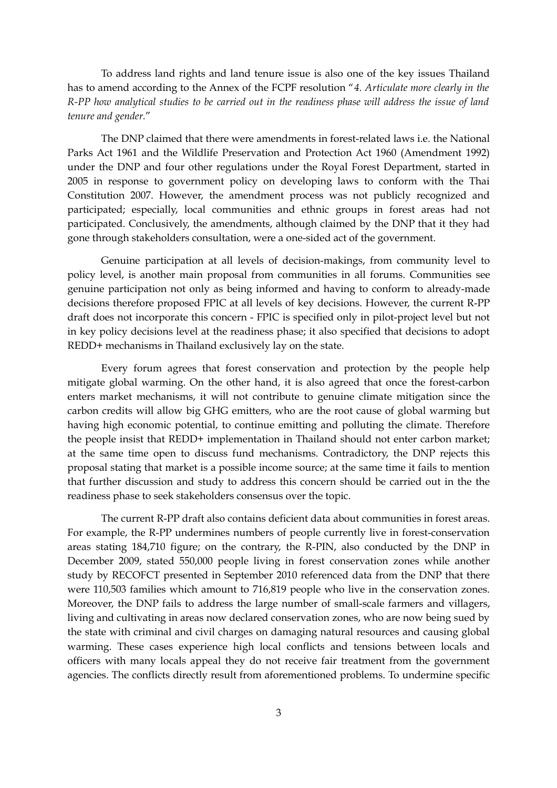To address land rights and land tenure issue is also one of the key issues Thailand has to amend according to the Annex of the FCPF resolution "*4. Articulate more clearly in the* R-PP how analytical studies to be carried out in the readiness phase will address the issue of land *tenure and gender.*"

The DNP claimed that there were amendments in forest-related laws i.e. the National Parks Act 1961 and the Wildlife Preservation and Protection Act 1960 (Amendment 1992) under the DNP and four other regulations under the Royal Forest Department, started in 2005 in response to government policy on developing laws to conform with the Thai Constitution 2007. However, the amendment process was not publicly recognized and participated; especially, local communities and ethnic groups in forest areas had not participated. Conclusively, the amendments, although claimed by the DNP that it they had gone through stakeholders consultation, were a one-sided act of the government.

Genuine participation at all levels of decision-makings, from community level to policy level, is another main proposal from communities in all forums. Communities see genuine participation not only as being informed and having to conform to already-made decisions therefore proposed FPIC at all levels of key decisions. However, the current R-PP draft does not incorporate this concern - FPIC is specified only in pilot-project level but not in key policy decisions level at the readiness phase; it also specified that decisions to adopt REDD+ mechanisms in Thailand exclusively lay on the state.

Every forum agrees that forest conservation and protection by the people help mitigate global warming. On the other hand, it is also agreed that once the forest-carbon enters market mechanisms, it will not contribute to genuine climate mitigation since the carbon credits will allow big GHG emitters, who are the root cause of global warming but having high economic potential, to continue emitting and polluting the climate. Therefore the people insist that REDD+ implementation in Thailand should not enter carbon market; at the same time open to discuss fund mechanisms. Contradictory, the DNP rejects this proposal stating that market is a possible income source; at the same time it fails to mention that further discussion and study to address this concern should be carried out in the the readiness phase to seek stakeholders consensus over the topic.

The current R-PP draft also contains deficient data about communities in forest areas. For example, the R-PP undermines numbers of people currently live in forest-conservation areas stating 184,710 figure; on the contrary, the R-PIN, also conducted by the DNP in December 2009, stated 550,000 people living in forest conservation zones while another study by RECOFCT presented in September 2010 referenced data from the DNP that there were 110,503 families which amount to 716,819 people who live in the conservation zones. Moreover, the DNP fails to address the large number of small-scale farmers and villagers, living and cultivating in areas now declared conservation zones, who are now being sued by the state with criminal and civil charges on damaging natural resources and causing global warming. These cases experience high local conflicts and tensions between locals and officers with many locals appeal they do not receive fair treatment from the government agencies. The conflicts directly result from aforementioned problems. To undermine specific